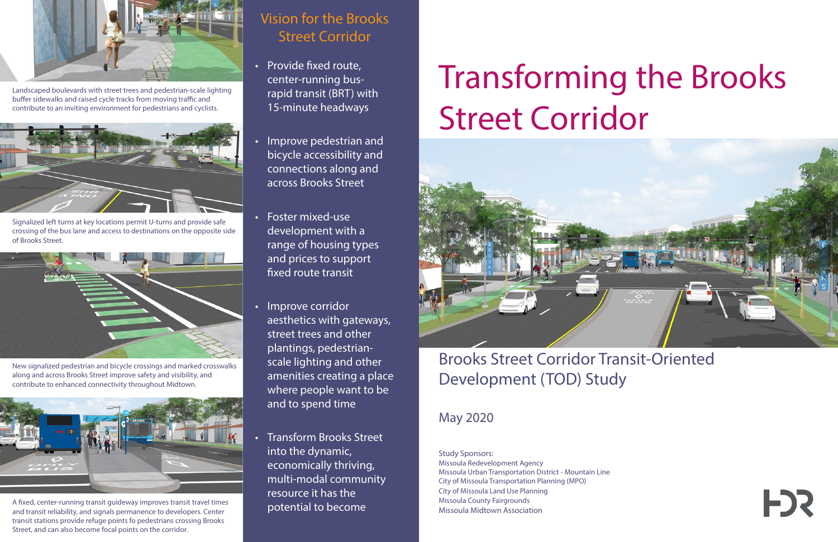## Vision for the Brooks Street Corridor

- Provide fixed route, center-running busrapid transit (BRT) with 15-minute headways
- Improve pedestrian and bicycle accessibility and connections along and across Brooks Street
- Foster mixed-use development with a range of housing types and prices to support fixed route transit
- Improve corridor aesthetics with gateways, street trees and other plantings, pedestrianscale lighting and other amenities creating a place where people want to be and to spend time
- Transform Brooks Street into the dynamic, economically thriving, multi-modal community resource it has the potential to become



Landscaped boulevards with street trees and pedestrian-scale lighting buffer sidewalks and raised cycle tracks from moving traffic and contribute to an inviting environment for pedestrians and cyclists.



Signalized left turns at key locations permit U-turns and provide safe crossing of the bus lane and access to destinations on the opposite side of Brooks Street.



New signalized pedestrian and bicycle crossings and marked crosswalks along and across Brooks Street improve safety and visibility, and contribute to enhanced connectivity throughout Midtown.

# Transforming the Brooks Street Corridor



# Brooks Street Corridor Transit-Oriented Development (TOD) Study

## May 2020



A fixed, center-running transit guideway improves transit travel times and transit reliability, and signals permanence to developers. Center transit stations provide refuge points fo pedestrians crossing Brooks Street, and can also become focal points on the corridor.

Study Sponsors: Missoula Redevelopment Agency Missoula Urban Transportation District - Mountain Line City of Missoula Transportation Planning (MPO) City of Missoula Land Use Planning Missoula County Fairgrounds Missoula Midtown Association